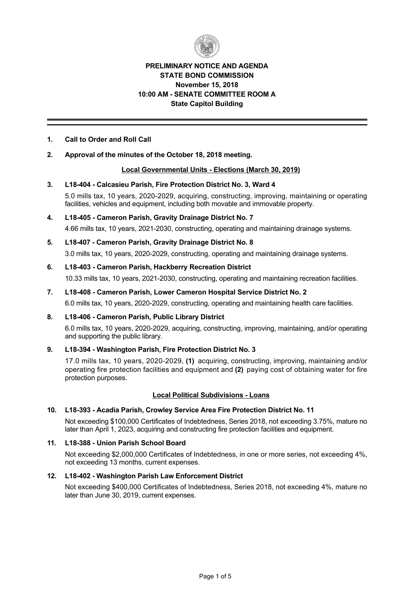

## **PRELIMINARY NOTICE AND AGENDA STATE BOND COMMISSION November 15, 2018 10:00 AM SENATE COMMITTEE ROOM A State Capitol Building**

## **1. Call to Order and Roll Call**

## **2. Approval of the minutes of the October 18, 2018 meeting.**

## **Local Governmental Units Elections (March 30, 2019)**

#### **3. L18404 Calcasieu Parish, Fire Protection District No. 3, Ward 4**

5.0 mills tax, 10 years, 2020-2029, acquiring, constructing, improving, maintaining or operating facilities, vehicles and equipment, including both movable and immovable property.

# **4. L18405 Cameron Parish, Gravity Drainage District No. 7**

4.66 mills tax, 10 years, 2021-2030, constructing, operating and maintaining drainage systems.

## **5. L18407 Cameron Parish, Gravity Drainage District No. 8**

3.0 mills tax, 10 years, 2020-2029, constructing, operating and maintaining drainage systems.

#### **6. L18403 Cameron Parish, Hackberry Recreation District**

10.33 mills tax, 10 years, 2021-2030, constructing, operating and maintaining recreation facilities.

## **7. L18408 Cameron Parish, Lower Cameron Hospital Service District No. 2**

6.0 mills tax, 10 years, 2020-2029, constructing, operating and maintaining health care facilities.

## **8. L18406 Cameron Parish, Public Library District**

6.0 mills tax, 10 years, 2020-2029, acquiring, constructing, improving, maintaining, and/or operating and supporting the public library.

## **9. L18394 Washington Parish, Fire Protection District No. 3**

17.0 mills tax, 10 years, 2020-2029, (1) acquiring, constructing, improving, maintaining and/or operating fire protection facilities and equipment and **(2)** paying cost of obtaining water for fire protection purposes.

## **Local Political Subdivisions Loans**

## **10. L18393 Acadia Parish, Crowley Service Area Fire Protection District No. 11**

Not exceeding \$100,000 Certificates of Indebtedness, Series 2018, not exceeding 3.75%, mature no later than April 1, 2023, acquiring and constructing fire protection facilities and equipment.

## **11. L18388 Union Parish School Board**

Not exceeding \$2,000,000 Certificates of Indebtedness, in one or more series, not exceeding 4%, not exceeding 13 months, current expenses.

#### **12. L18402 Washington Parish Law Enforcement District**

Not exceeding \$400,000 Certificates of Indebtedness, Series 2018, not exceeding 4%, mature no later than June 30, 2019, current expenses.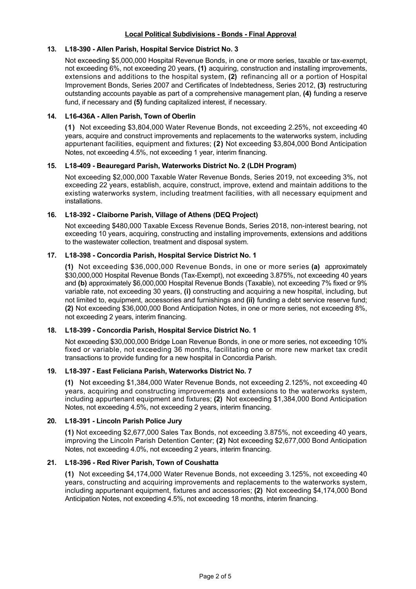## **Local Political Subdivisions - Bonds - Final Approval**

#### **13. L18390 Allen Parish, Hospital Service District No. 3**

Not exceeding \$5,000,000 Hospital Revenue Bonds, in one or more series, taxable or tax-exempt, not exceeding 6%, not exceeding 20 years, **(1)** acquiring, construction and installing improvements, extensions and additions to the hospital system, **(2)** refinancing all or a portion of Hospital Improvement Bonds, Series 2007 and Certificates of Indebtedness, Series 2012, **(3)** restructuring outstanding accounts payable as part of a comprehensive management plan, **(4)** funding a reserve fund, if necessary and **(5)** funding capitalized interest, if necessary.

#### **14. L16436A Allen Parish, Town of Oberlin**

**(1)** Not exceeding \$3,804,000 Water Revenue Bonds, not exceeding 2.25%, not exceeding 40 years, acquire and construct improvements and replacements to the waterworks system, including appurtenant facilities, equipment and fixtures; **(2)** Not exceeding \$3,804,000 Bond Anticipation Notes, not exceeding 4.5%, not exceeding 1 year, interim financing.

#### **15. L18409 Beauregard Parish, Waterworks District No. 2 (LDH Program)**

Not exceeding \$2,000,000 Taxable Water Revenue Bonds, Series 2019, not exceeding 3%, not exceeding 22 years, establish, acquire, construct, improve, extend and maintain additions to the existing waterworks system, including treatment facilities, with all necessary equipment and installations.

#### **16. L18392 Claiborne Parish, Village of Athens (DEQ Project)**

Not exceeding \$480,000 Taxable Excess Revenue Bonds, Series 2018, noninterest bearing, not exceeding 10 years, acquiring, constructing and installing improvements, extensions and additions to the wastewater collection, treatment and disposal system.

#### **17. L18398 Concordia Parish, Hospital Service District No. 1**

**(1)** Not exceeding \$36,000,000 Revenue Bonds, in one or more series **(a)** approximately \$30,000,000 Hospital Revenue Bonds (Tax-Exempt), not exceeding 3.875%, not exceeding 40 years and **(b)** approximately \$6,000,000 Hospital Revenue Bonds (Taxable), not exceeding 7% fixed or 9% variable rate, not exceeding 30 years, **(i)** constructing and acquiring a new hospital, including, but not limited to, equipment, accessories and furnishings and **(ii)** funding a debt service reserve fund; **(2)** Not exceeding \$36,000,000 Bond Anticipation Notes, in one or more series, not exceeding 8%, not exceeding 2 years, interim financing.

## **18. L18399 Concordia Parish, Hospital Service District No. 1**

Not exceeding \$30,000,000 Bridge Loan Revenue Bonds, in one or more series, not exceeding 10% fixed or variable, not exceeding 36 months, facilitating one or more new market tax credit transactions to provide funding for a new hospital in Concordia Parish.

## **19. L18397 East Feliciana Parish, Waterworks District No. 7**

**(1)** Not exceeding \$1,384,000 Water Revenue Bonds, not exceeding 2.125%, not exceeding 40 years, acquiring and constructing improvements and extensions to the waterworks system, including appurtenant equipment and fixtures; **(2)** Not exceeding \$1,384,000 Bond Anticipation Notes, not exceeding 4.5%, not exceeding 2 years, interim financing.

#### **20. L18391 Lincoln Parish Police Jury**

**(1)** Not exceeding \$2,677,000 Sales Tax Bonds, not exceeding 3.875%, not exceeding 40 years, improving the Lincoln Parish Detention Center; **(2)** Not exceeding \$2,677,000 Bond Anticipation Notes, not exceeding 4.0%, not exceeding 2 years, interim financing.

## **21. L18396 Red River Parish, Town of Coushatta**

**(1)**  Not exceeding \$4,174,000 Water Revenue Bonds, not exceeding 3.125%, not exceeding 40 years, constructing and acquiring improvements and replacements to the waterworks system, including appurtenant equipment, fixtures and accessories; **(2)** Not exceeding \$4,174,000 Bond Anticipation Notes, not exceeding 4.5%, not exceeding 18 months, interim financing.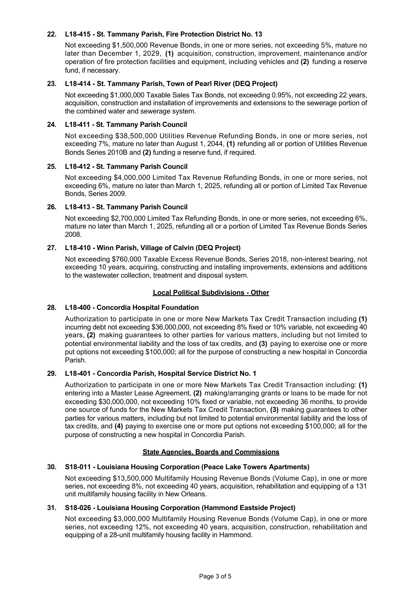## **22. L18415 St. Tammany Parish, Fire Protection District No. 13**

Not exceeding \$1,500,000 Revenue Bonds, in one or more series, not exceeding 5%, mature no later than December 1, 2029, **(1)** acquisition, construction, improvement, maintenance and/or operation of fire protection facilities and equipment, including vehicles and **(2)** funding a reserve fund, if necessary.

## **23. L18414 St. Tammany Parish, Town of Pearl River (DEQ Project)**

Not exceeding \$1,000,000 Taxable Sales Tax Bonds, not exceeding 0.95%, not exceeding 22 years, acquisition, construction and installation of improvements and extensions to the sewerage portion of the combined water and sewerage system.

## **24. L18411 St. Tammany Parish Council**

Not exceeding \$38,500,000 Utilities Revenue Refunding Bonds, in one or more series, not exceeding 7%, mature no later than August 1, 2044, **(1)** refunding all or portion of Utilities Revenue Bonds Series 2010B and **(2)** funding a reserve fund, if required.

#### **25. L18412 St. Tammany Parish Council**

Not exceeding \$4,000,000 Limited Tax Revenue Refunding Bonds, in one or more series, not exceeding 6%, mature no later than March 1, 2025, refunding all or portion of Limited Tax Revenue Bonds, Series 2009.

#### **26. L18413 St. Tammany Parish Council**

Not exceeding \$2,700,000 Limited Tax Refunding Bonds, in one or more series, not exceeding 6%, mature no later than March 1, 2025, refunding all or a portion of Limited Tax Revenue Bonds Series 2008.

## **27. L18410 Winn Parish, Village of Calvin (DEQ Project)**

Not exceeding \$760,000 Taxable Excess Revenue Bonds, Series 2018, noninterest bearing, not exceeding 10 years, acquiring, constructing and installing improvements, extensions and additions to the wastewater collection, treatment and disposal system.

## **Local Political Subdivisions - Other**

## **28. L18400 Concordia Hospital Foundation**

Authorization to participate in one or more New Markets Tax Credit Transaction including **(1)** incurring debt not exceeding \$36,000,000, not exceeding 8% fixed or 10% variable, not exceeding 40 years, **(2)** making guarantees to other parties for various matters, including but not limited to potential environmental liability and the loss of tax credits, and **(3)** paying to exercise one or more put options not exceeding \$100,000; all for the purpose of constructing a new hospital in Concordia Parish.

## **29. L18401 Concordia Parish, Hospital Service District No. 1**

Authorization to participate in one or more New Markets Tax Credit Transaction including: **(1)** entering into a Master Lease Agreement, **(2)** making/arranging grants or loans to be made for not exceeding \$30,000,000, not exceeding 10% fixed or variable, not exceeding 36 months, to provide one source of funds for the New Markets Tax Credit Transaction, **(3)** making guarantees to other parties for various matters, including but not limited to potential environmental liability and the loss of tax credits, and **(4)** paying to exercise one or more put options not exceeding \$100,000; all for the purpose of constructing a new hospital in Concordia Parish.

## **State Agencies, Boards and Commissions**

## **30. S18011 Louisiana Housing Corporation (Peace Lake Towers Apartments)**

Not exceeding \$13,500,000 Multifamily Housing Revenue Bonds (Volume Cap), in one or more series, not exceeding 8%, not exceeding 40 years, acquisition, rehabilitation and equipping of a 131 unit multifamily housing facility in New Orleans.

## **31. S18026 Louisiana Housing Corporation (Hammond Eastside Project)**

Not exceeding \$3,000,000 Multifamily Housing Revenue Bonds (Volume Cap), in one or more series, not exceeding 12%, not exceeding 40 years, acquisition, construction, rehabilitation and equipping of a 28-unit multifamily housing facility in Hammond.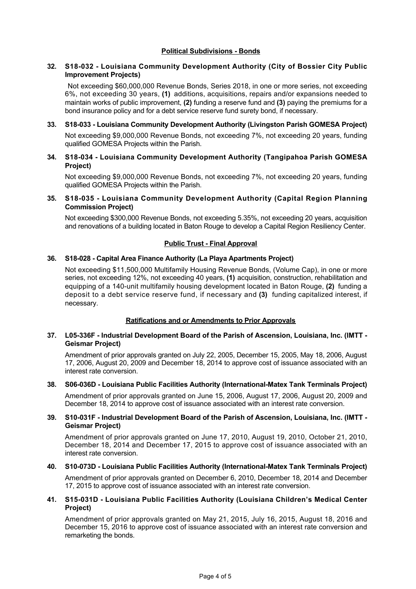## **Political Subdivisions - Bonds**

## **32. S18032 Louisiana Community Development Authority (City of Bossier City Public Improvement Projects)**

Not exceeding \$60,000,000 Revenue Bonds, Series 2018, in one or more series, not exceeding 6%, not exceeding 30 years, **(1)** additions, acquisitions, repairs and/or expansions needed to maintain works of public improvement, **(2)** funding a reserve fund and **(3)** paying the premiums for a bond insurance policy and for a debt service reserve fund surety bond, if necessary.

**33. S18033 Louisiana Community Development Authority (Livingston Parish GOMESA Project)** Not exceeding \$9,000,000 Revenue Bonds, not exceeding 7%, not exceeding 20 years, funding qualified GOMESA Projects within the Parish.

## **34. S18034 Louisiana Community Development Authority (Tangipahoa Parish GOMESA Project)**

Not exceeding \$9,000,000 Revenue Bonds, not exceeding 7%, not exceeding 20 years, funding qualified GOMESA Projects within the Parish.

## **35. S18035 Louisiana Community Development Authority (Capital Region Planning Commission Project)**

Not exceeding \$300,000 Revenue Bonds, not exceeding 5.35%, not exceeding 20 years, acquisition and renovations of a building located in Baton Rouge to develop a Capital Region Resiliency Center.

## **Public Trust - Final Approval**

## **36. S18028 Capital Area Finance Authority (La Playa Apartments Project)**

Not exceeding \$11,500,000 Multifamily Housing Revenue Bonds, (Volume Cap), in one or more series, not exceeding 12%, not exceeding 40 years, **(1)** acquisition, construction, rehabilitation and equipping of a 140-unit multifamily housing development located in Baton Rouge, (2) funding a deposit to a debt service reserve fund, if necessary and **(3)** funding capitalized interest, if necessary.

## **Ratifications and or Amendments to Prior Approvals**

#### **37. L05336F Industrial Development Board of the Parish of Ascension, Louisiana, Inc. (IMTT Geismar Project)**

Amendment of prior approvals granted on July 22, 2005, December 15, 2005, May 18, 2006, August 17, 2006, August 20, 2009 and December 18, 2014 to approve cost of issuance associated with an interest rate conversion.

#### **38. S06-036D - Louisiana Public Facilities Authority (International-Matex Tank Terminals Project)**

Amendment of prior approvals granted on June 15, 2006, August 17, 2006, August 20, 2009 and December 18, 2014 to approve cost of issuance associated with an interest rate conversion.

#### **39. S10031F Industrial Development Board of the Parish of Ascension, Louisiana, Inc. (IMTT Geismar Project)**

Amendment of prior approvals granted on June 17, 2010, August 19, 2010, October 21, 2010, December 18, 2014 and December 17, 2015 to approve cost of issuance associated with an interest rate conversion.

#### **40. S10073D Louisiana Public Facilities Authority (InternationalMatex Tank Terminals Project)**

Amendment of prior approvals granted on December 6, 2010, December 18, 2014 and December 17, 2015 to approve cost of issuance associated with an interest rate conversion.

#### **41. S15031D Louisiana Public Facilities Authority (Louisiana Children's Medical Center Project)**

Amendment of prior approvals granted on May 21, 2015, July 16, 2015, August 18, 2016 and December 15, 2016 to approve cost of issuance associated with an interest rate conversion and remarketing the bonds.